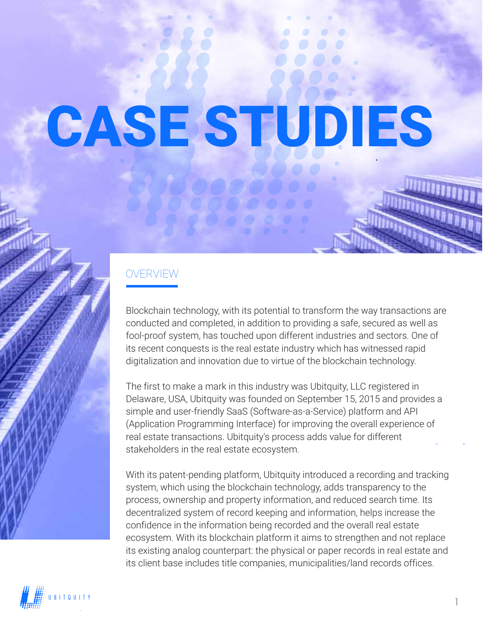# CASE STUDIES

#### OVERVIEW

Blockchain technology, with its potential to transform the way transactions are conducted and completed, in addition to providing a safe, secured as well as fool-proof system, has touched upon different industries and sectors. One of its recent conquests is the real estate industry which has witnessed rapid digitalization and innovation due to virtue of the blockchain technology.

The first to make a mark in this industry was Ubitquity, LLC registered in Delaware, USA, Ubitquity was founded on September 15, 2015 and provides a simple and user-friendly SaaS (Software-as-a-Service) platform and API (Application Programming Interface) for improving the overall experience of real estate transactions. Ubitquity's process adds value for different stakeholders in the real estate ecosystem.

With its patent-pending platform, Ubitquity introduced a recording and tracking system, which using the blockchain technology, adds transparency to the process, ownership and property information, and reduced search time. Its decentralized system of record keeping and information, helps increase the confidence in the information being recorded and the overall real estate ecosystem. With its blockchain platform it aims to strengthen and not replace its existing analog counterpart: the physical or paper records in real estate and its client base includes title companies, municipalities/land records offices.

UBITQUITY 1999 POST SUBSERVED AND THE STATE OF THE STATE OF THE STATE OF THE STATE OF THE STATE OF THE STATE O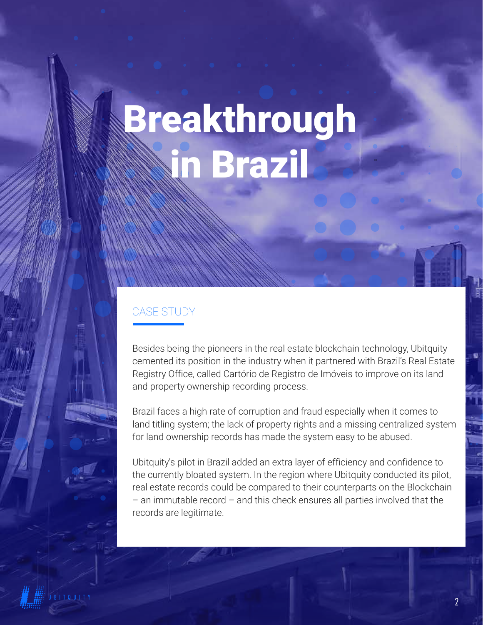### Breakthrough in Brazil

#### CASE STUDY

Besides being the pioneers in the real estate blockchain technology, Ubitquity cemented its position in the industry when it partnered with Brazil's Real Estate Registry Office, called Cartório de Registro de Imóveis to improve on its land and property ownership recording process.

Brazil faces a high rate of corruption and fraud especially when it comes to land titling system; the lack of property rights and a missing centralized system for land ownership records has made the system easy to be abused.

Ubitquity's pilot in Brazil added an extra layer of efficiency and confidence to the currently bloated system. In the region where Ubitquity conducted its pilot, real estate records could be compared to their counterparts on the Blockchain – an immutable record – and this check ensures all parties involved that the records are legitimate.

UBITQUITY 2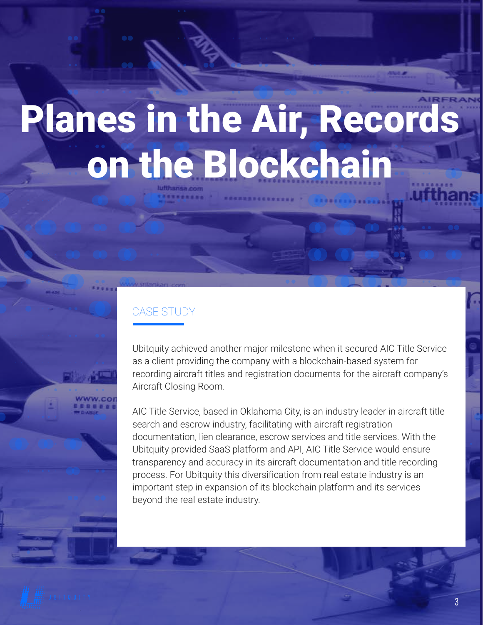# Planes in the Air, Records on the Blockchain

### CASE STUDY

Ubitquity achieved another major milestone when it secured AIC Title Service as a client providing the company with a blockchain-based system for recording aircraft titles and registration documents for the aircraft company's Aircraft Closing Room.

AIC Title Service, based in Oklahoma City, is an industry leader in aircraft title search and escrow industry, facilitating with aircraft registration documentation, lien clearance, escrow services and title services. With the Ubitquity provided SaaS platform and API, AIC Title Service would ensure transparency and accuracy in its aircraft documentation and title recording process. For Ubitquity this diversification from real estate industry is an important step in expansion of its blockchain platform and its services beyond the real estate industry.

UBITQUITY 3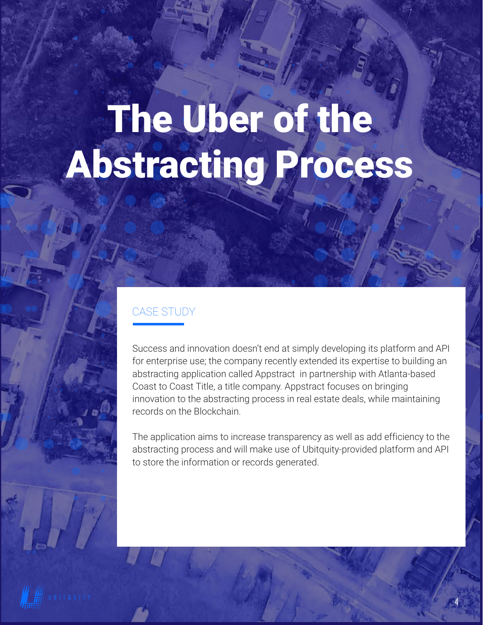## The Uber of the Abstracting Process

### CASE STUDY

Success and innovation doesn't end at simply developing its platform and API for enterprise use; the company recently extended its expertise to building an abstracting application called Appstract in partnership with Atlanta-based Coast to Coast Title, a title company. Appstract focuses on bringing innovation to the abstracting process in real estate deals, while maintaining records on the Blockchain.

The application aims to increase transparency as well as add efficiency to the abstracting process and will make use of Ubitquity-provided platform and API to store the information or records generated.